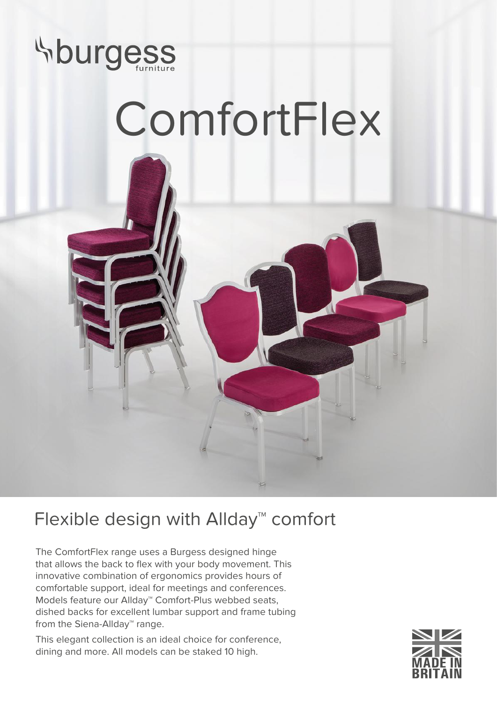

## ComfortFlex



## Flexible design with Allday<sup>™</sup> comfort

The ComfortFlex range uses a Burgess designed hinge that allows the back to flex with your body movement. This innovative combination of ergonomics provides hours of comfortable support, ideal for meetings and conferences. Models feature our Allday™ Comfort-Plus webbed seats, dished backs for excellent lumbar support and frame tubing from the Siena-Allday™ range.

This elegant collection is an ideal choice for conference, dining and more. All models can be staked 10 high.